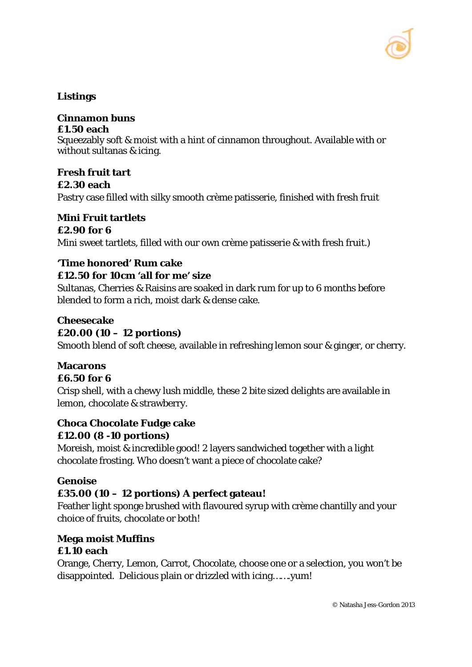

### **Listings**

# **Cinnamon buns**

#### **£1.50 each**

Squeezably soft & moist with a hint of cinnamon throughout. Available with or without sultanas & icing.

**Fresh fruit tart £2.30 each** Pastry case filled with silky smooth crème patisserie, finished with fresh fruit

#### **Mini Fruit tartlets £2.90 for 6**

Mini sweet tartlets, filled with our own crème patisserie & with fresh fruit.)

#### **'Time honored' Rum cake**

#### **£12.50 for 10cm 'all for me' size**

Sultanas, Cherries & Raisins are soaked in dark rum for up to 6 months before blended to form a rich, moist dark & dense cake.

#### **Cheesecake**

### **£20.00 (10 – 12 portions)**

Smooth blend of soft cheese, available in refreshing lemon sour & ginger, or cherry.

## **Macarons**

#### **£6.50 for 6**

Crisp shell, with a chewy lush middle, these 2 bite sized delights are available in lemon, chocolate & strawberry.

#### **Choca Chocolate Fudge cake £12.00 (8 -10 portions)**

Moreish, moist & incredible good! 2 layers sandwiched together with a light chocolate frosting. Who doesn't want a piece of chocolate cake?

#### **Genoise**

## **£35.00 (10 – 12 portions) A perfect gateau!**

Feather light sponge brushed with flavoured syrup with crème chantilly and your choice of fruits, chocolate or both!

#### **Mega moist Muffins £1.10 each**

Orange, Cherry, Lemon, Carrot, Chocolate, choose one or a selection, you won't be disappointed. Delicious plain or drizzled with icing…….yum!